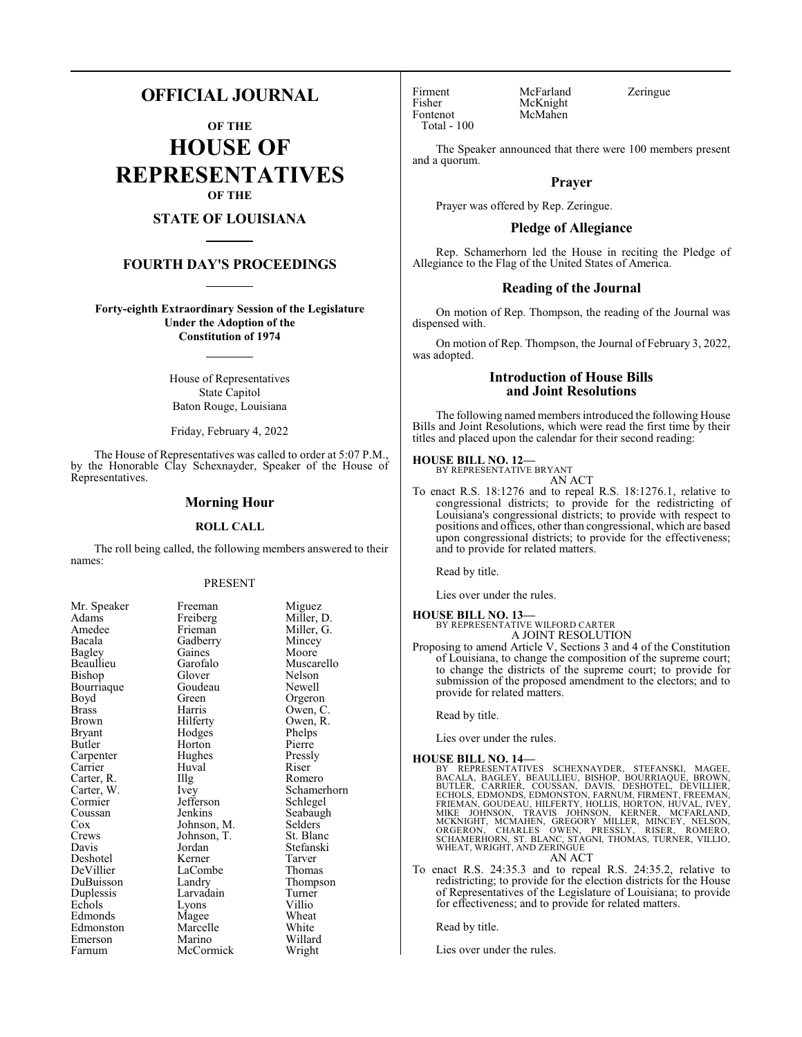### **OFFICIAL JOURNAL**

**OF THE HOUSE OF REPRESENTATIVES OF THE**

#### **STATE OF LOUISIANA**

#### **FOURTH DAY'S PROCEEDINGS**

**Forty-eighth Extraordinary Session of the Legislature Under the Adoption of the Constitution of 1974**

> House of Representatives State Capitol Baton Rouge, Louisiana

Friday, February 4, 2022

The House of Representatives was called to order at 5:07 P.M., by the Honorable Clay Schexnayder, Speaker of the House of Representatives.

#### **Morning Hour**

#### **ROLL CALL**

The roll being called, the following members answered to their names:

#### PRESENT

| міг. эреакег  |
|---------------|
| Adams         |
| Amedee        |
| Bacala        |
| <b>Bagley</b> |
| Beaullieu     |
| Bishop        |
| Bourriaque    |
| Boyd          |
| <b>Brass</b>  |
| Brown         |
| Bryant        |
| Butler        |
| Carpenter     |
| Carrier       |
| Carter, R.    |
| Carter, W.    |
| Cormier       |
| Coussan       |
|               |
| Cox<br>Crews  |
| Davis         |
| Deshotel      |
| DeVillier     |
| DuBuisson     |
| Duplessis     |
| Echols        |
| Edmonds       |
| Edmonston     |
| Emerson       |
| Farnum        |

Mr. Speaker Freeman Miguez<br>Adams Freiberg Miller, 1 Freiberg Miller, D.<br>Frieman Miller, G. Gadberry Mincey<br>Gaines Moore Gaines<br>Garofalo Garofalo Muscarello<br>Glover Nelson Bishop Glover Nelson Goudeau Newell<br>Green Orgerou Green Orgeron<br>Harris Owen, C Harris Owen, C.<br>Hilferty Owen, R. Hodges Horton Pierre<br>
Hughes Pressly Hughes Press<br>
Huyal Riser Huval<br>Illg The Romero<br>
Ivey Schamer Jefferson<br>Jenkins Johnson, M. Selders<br>Johnson, T. St. Blanc Johnson, T.<br>Jordan Kerner Tarver<br>LaCombe Thomas LaCombe<br>Landry Larvadain Turner<br>Lyons Villio Extends Lyons Villions<br>
Mage Wheat Magee Wheat<br>
Marcelle White Marcelle<br>Marino McCormick

Miller, G. Owen, R.<br>Phelps Schamerhorn<br>Schlegel Seabaugh Stefanski Thompson Willard<br>Wright

Firment McFarland Zeringue<br>
Fisher McKnight Fisher McKnight<br>Fontenot McMahen Total - 100

McMahen

The Speaker announced that there were 100 members present and a quorum.

#### **Prayer**

Prayer was offered by Rep. Zeringue.

#### **Pledge of Allegiance**

Rep. Schamerhorn led the House in reciting the Pledge of Allegiance to the Flag of the United States of America.

#### **Reading of the Journal**

On motion of Rep. Thompson, the reading of the Journal was dispensed with.

On motion of Rep. Thompson, the Journal of February 3, 2022, was adopted.

#### **Introduction of House Bills and Joint Resolutions**

The following named members introduced the following House Bills and Joint Resolutions, which were read the first time by their titles and placed upon the calendar for their second reading:

#### **HOUSE BILL NO. 12—**

BY REPRESENTATIVE BRYANT

- AN ACT
- To enact R.S. 18:1276 and to repeal R.S. 18:1276.1, relative to congressional districts; to provide for the redistricting of Louisiana's congressional districts; to provide with respect to positions and offices, other than congressional, which are based upon congressional districts; to provide for the effectiveness; and to provide for related matters.

Read by title.

Lies over under the rules.

#### **HOUSE BILL NO. 13—**

BY REPRESENTATIVE WILFORD CARTER A JOINT RESOLUTION

Proposing to amend Article V, Sections 3 and 4 of the Constitution of Louisiana, to change the composition of the supreme court; to change the districts of the supreme court; to provide for submission of the proposed amendment to the electors; and to provide for related matters.

Read by title.

Lies over under the rules.

- **HOUSE BILL NO. 14—**<br>BY REPRESENTATIVES SCHEXNAYDER, STEFANSKI, MAGEE, BACALA, BAGLEY, BEAULLIEU, BISHOP, BOURRIAQUE, BROWN,<br>BUTLER, CARRIER, COUSSAN, DAVIS, DESHOTEL, DEVILLIER,<br>ECHOLS, EDMONDS, EDMONSTON, FARNUM, FIRMENT AN ACT
- To enact R.S. 24:35.3 and to repeal R.S. 24:35.2, relative to redistricting; to provide for the election districts for the House of Representatives of the Legislature of Louisiana; to provide for effectiveness; and to provide for related matters.

Read by title.

Lies over under the rules.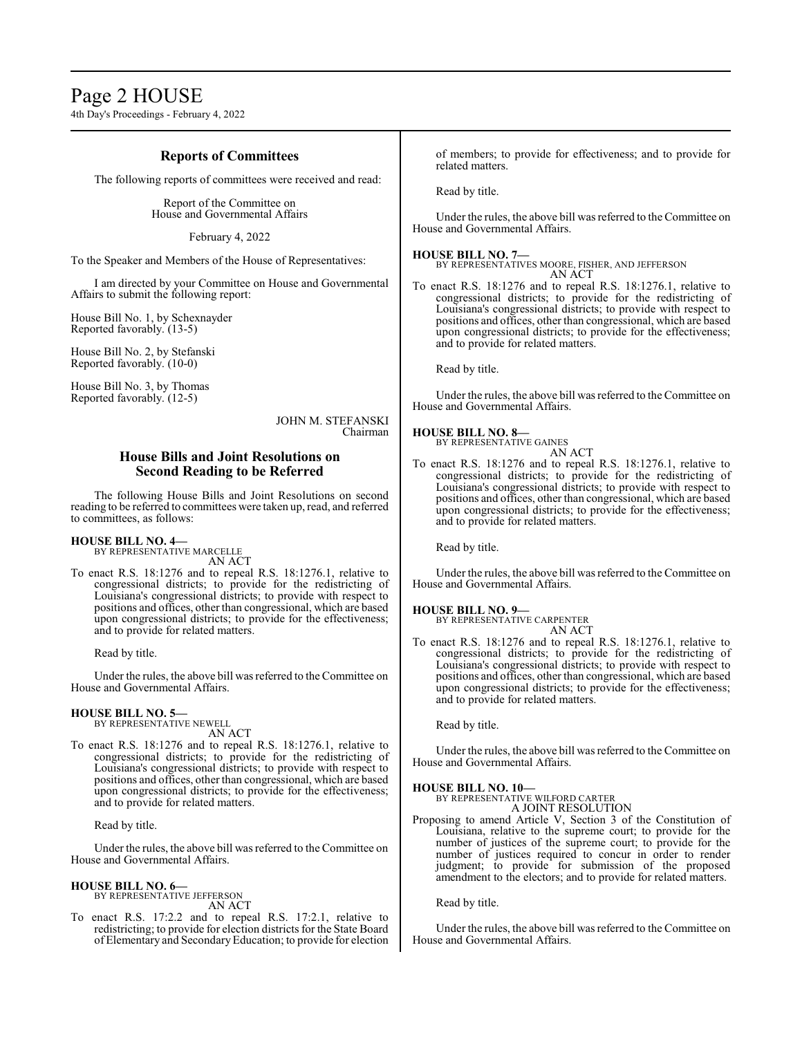### Page 2 HOUSE

4th Day's Proceedings - February 4, 2022

#### **Reports of Committees**

The following reports of committees were received and read:

Report of the Committee on House and Governmental Affairs

February 4, 2022

To the Speaker and Members of the House of Representatives:

I am directed by your Committee on House and Governmental Affairs to submit the following report:

House Bill No. 1, by Schexnayder Reported favorably. (13-5)

House Bill No. 2, by Stefanski Reported favorably. (10-0)

House Bill No. 3, by Thomas Reported favorably. (12-5)

> JOHN M. STEFANSKI Chairman

#### **House Bills and Joint Resolutions on Second Reading to be Referred**

The following House Bills and Joint Resolutions on second reading to be referred to committees were taken up, read, and referred to committees, as follows:

#### **HOUSE BILL NO. 4—**

BY REPRESENTATIVE MARCELLE AN ACT

To enact R.S. 18:1276 and to repeal R.S. 18:1276.1, relative to congressional districts; to provide for the redistricting of Louisiana's congressional districts; to provide with respect to positions and offices, other than congressional, which are based upon congressional districts; to provide for the effectiveness; and to provide for related matters.

Read by title.

Under the rules, the above bill was referred to the Committee on House and Governmental Affairs.

### **HOUSE BILL NO. 5—** BY REPRESENTATIVE NEWELL

AN ACT

To enact R.S. 18:1276 and to repeal R.S. 18:1276.1, relative to congressional districts; to provide for the redistricting of Louisiana's congressional districts; to provide with respect to positions and offices, other than congressional, which are based upon congressional districts; to provide for the effectiveness; and to provide for related matters.

Read by title.

Under the rules, the above bill was referred to the Committee on House and Governmental Affairs.

#### **HOUSE BILL NO. 6—** BY REPRESENTATIVE JEFFERSON

AN ACT

To enact R.S. 17:2.2 and to repeal R.S. 17:2.1, relative to redistricting; to provide for election districts for the State Board of Elementary and SecondaryEducation; to provide for election of members; to provide for effectiveness; and to provide for related matters.

Read by title.

Under the rules, the above bill was referred to the Committee on House and Governmental Affairs.

#### **HOUSE BILL NO. 7—**

BY REPRESENTATIVES MOORE, FISHER, AND JEFFERSON AN ACT

To enact R.S. 18:1276 and to repeal R.S. 18:1276.1, relative to congressional districts; to provide for the redistricting of Louisiana's congressional districts; to provide with respect to positions and offices, other than congressional, which are based upon congressional districts; to provide for the effectiveness; and to provide for related matters.

Read by title.

Under the rules, the above bill was referred to the Committee on House and Governmental Affairs.

#### **HOUSE BILL NO. 8—**

BY REPRESENTATIVE GAINES AN ACT

To enact R.S. 18:1276 and to repeal R.S. 18:1276.1, relative to congressional districts; to provide for the redistricting of Louisiana's congressional districts; to provide with respect to positions and offices, other than congressional, which are based upon congressional districts; to provide for the effectiveness; and to provide for related matters.

Read by title.

Under the rules, the above bill was referred to the Committee on House and Governmental Affairs.

#### **HOUSE BILL NO. 9—**

BY REPRESENTATIVE CARPENTER AN ACT

To enact R.S. 18:1276 and to repeal R.S. 18:1276.1, relative to congressional districts; to provide for the redistricting of Louisiana's congressional districts; to provide with respect to positions and offices, other than congressional, which are based upon congressional districts; to provide for the effectiveness; and to provide for related matters.

Read by title.

Under the rules, the above bill was referred to the Committee on House and Governmental Affairs.

#### **HOUSE BILL NO. 10—**

BY REPRESENTATIVE WILFORD CARTER A JOINT RESOLUTION

Proposing to amend Article V, Section 3 of the Constitution of Louisiana, relative to the supreme court; to provide for the number of justices of the supreme court; to provide for the number of justices required to concur in order to render judgment; to provide for submission of the proposed amendment to the electors; and to provide for related matters.

Read by title.

Under the rules, the above bill was referred to the Committee on House and Governmental Affairs.